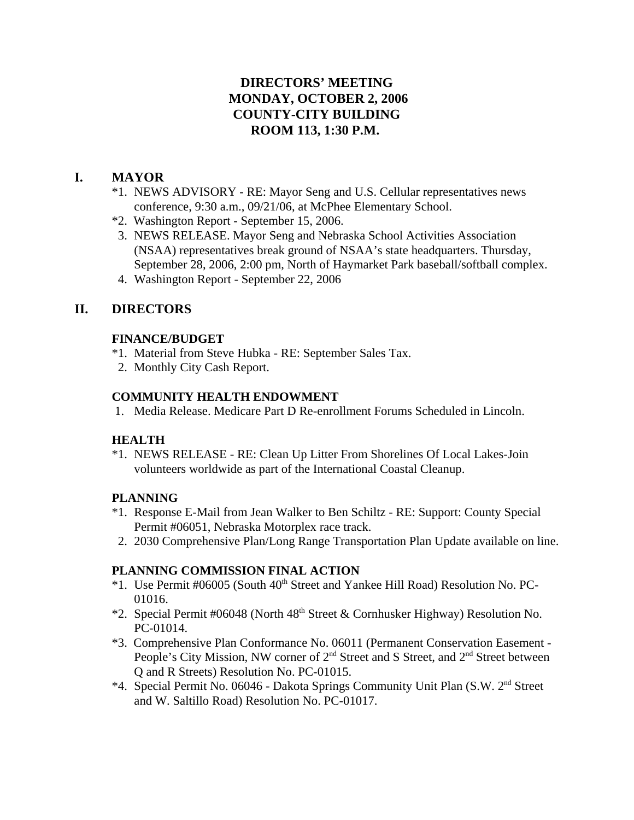## **DIRECTORS' MEETING MONDAY, OCTOBER 2, 2006 COUNTY-CITY BUILDING ROOM 113, 1:30 P.M.**

## **I. MAYOR**

- \*1. NEWS ADVISORY RE: Mayor Seng and U.S. Cellular representatives news conference, 9:30 a.m., 09/21/06, at McPhee Elementary School.
- \*2. Washington Report September 15, 2006.
- 3. NEWS RELEASE. Mayor Seng and Nebraska School Activities Association (NSAA) representatives break ground of NSAA's state headquarters. Thursday, September 28, 2006, 2:00 pm, North of Haymarket Park baseball/softball complex.
- 4. Washington Report September 22, 2006

## **II. DIRECTORS**

## **FINANCE/BUDGET**

- \*1. Material from Steve Hubka RE: September Sales Tax.
- 2. Monthly City Cash Report.

## **COMMUNITY HEALTH ENDOWMENT**

1. Media Release. Medicare Part D Re-enrollment Forums Scheduled in Lincoln.

### **HEALTH**

\*1. NEWS RELEASE - RE: Clean Up Litter From Shorelines Of Local Lakes-Join volunteers worldwide as part of the International Coastal Cleanup.

### **PLANNING**

- \*1. Response E-Mail from Jean Walker to Ben Schiltz RE: Support: County Special Permit #06051, Nebraska Motorplex race track.
- 2. 2030 Comprehensive Plan/Long Range Transportation Plan Update available on line.

### **PLANNING COMMISSION FINAL ACTION**

- \*1. Use Permit #06005 (South 40<sup>th</sup> Street and Yankee Hill Road) Resolution No. PC-01016.
- \*2. Special Permit #06048 (North 48th Street & Cornhusker Highway) Resolution No. PC-01014.
- \*3. Comprehensive Plan Conformance No. 06011 (Permanent Conservation Easement People's City Mission, NW corner of 2<sup>nd</sup> Street and S Street, and 2<sup>nd</sup> Street between Q and R Streets) Resolution No. PC-01015.
- \*4. Special Permit No. 06046 Dakota Springs Community Unit Plan (S.W. 2nd Street and W. Saltillo Road) Resolution No. PC-01017.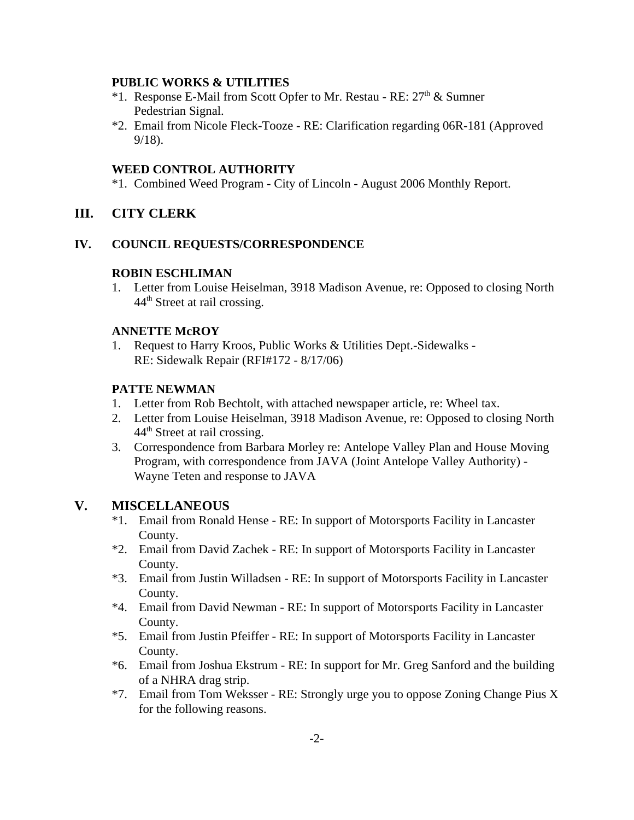#### **PUBLIC WORKS & UTILITIES**

- \*1. Response E-Mail from Scott Opfer to Mr. Restau RE: 27th & Sumner Pedestrian Signal.
- \*2. Email from Nicole Fleck-Tooze RE: Clarification regarding 06R-181 (Approved 9/18).

#### **WEED CONTROL AUTHORITY**

\*1. Combined Weed Program - City of Lincoln - August 2006 Monthly Report.

## **III. CITY CLERK**

#### **IV. COUNCIL REQUESTS/CORRESPONDENCE**

#### **ROBIN ESCHLIMAN**

1. Letter from Louise Heiselman, 3918 Madison Avenue, re: Opposed to closing North 44<sup>th</sup> Street at rail crossing.

#### **ANNETTE McROY**

1. Request to Harry Kroos, Public Works & Utilities Dept.-Sidewalks - RE: Sidewalk Repair (RFI#172 - 8/17/06)

#### **PATTE NEWMAN**

- 1. Letter from Rob Bechtolt, with attached newspaper article, re: Wheel tax.
- 2. Letter from Louise Heiselman, 3918 Madison Avenue, re: Opposed to closing North 44th Street at rail crossing.
- 3. Correspondence from Barbara Morley re: Antelope Valley Plan and House Moving Program, with correspondence from JAVA (Joint Antelope Valley Authority) - Wayne Teten and response to JAVA

#### **V. MISCELLANEOUS**

- \*1. Email from Ronald Hense RE: In support of Motorsports Facility in Lancaster County.
- \*2. Email from David Zachek RE: In support of Motorsports Facility in Lancaster County.
- \*3. Email from Justin Willadsen RE: In support of Motorsports Facility in Lancaster County.
- \*4. Email from David Newman RE: In support of Motorsports Facility in Lancaster County.
- \*5. Email from Justin Pfeiffer RE: In support of Motorsports Facility in Lancaster County.
- \*6. Email from Joshua Ekstrum RE: In support for Mr. Greg Sanford and the building of a NHRA drag strip.
- \*7. Email from Tom Weksser RE: Strongly urge you to oppose Zoning Change Pius X for the following reasons.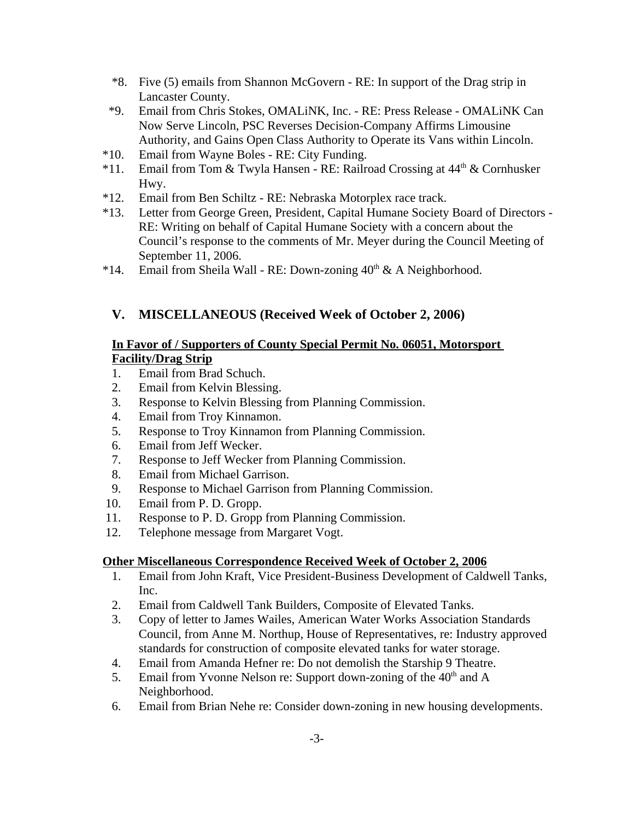- \*8. Five (5) emails from Shannon McGovern RE: In support of the Drag strip in Lancaster County.
- \*9. Email from Chris Stokes, OMALiNK, Inc. RE: Press Release OMALiNK Can Now Serve Lincoln, PSC Reverses Decision-Company Affirms Limousine Authority, and Gains Open Class Authority to Operate its Vans within Lincoln.
- \*10. Email from Wayne Boles RE: City Funding.
- \*11. Email from Tom & Twyla Hansen RE: Railroad Crossing at  $44<sup>th</sup>$  & Cornhusker Hwy.
- \*12. Email from Ben Schiltz RE: Nebraska Motorplex race track.
- \*13. Letter from George Green, President, Capital Humane Society Board of Directors RE: Writing on behalf of Capital Humane Society with a concern about the Council's response to the comments of Mr. Meyer during the Council Meeting of September 11, 2006.
- \*14. Email from Sheila Wall RE: Down-zoning  $40^{th}$  & A Neighborhood.

# **V. MISCELLANEOUS (Received Week of October 2, 2006)**

## **In Favor of / Supporters of County Special Permit No. 06051, Motorsport Facility/Drag Strip**

- 1. Email from Brad Schuch.
- 2. Email from Kelvin Blessing.
- 3. Response to Kelvin Blessing from Planning Commission.
- 4. Email from Troy Kinnamon.
- 5. Response to Troy Kinnamon from Planning Commission.
- 6. Email from Jeff Wecker.
- 7. Response to Jeff Wecker from Planning Commission.
- 8. Email from Michael Garrison.
- 9. Response to Michael Garrison from Planning Commission.
- 10. Email from P. D. Gropp.
- 11. Response to P. D. Gropp from Planning Commission.
- 12. Telephone message from Margaret Vogt.

## **Other Miscellaneous Correspondence Received Week of October 2, 2006**

- 1. Email from John Kraft, Vice President-Business Development of Caldwell Tanks, Inc.
- 2. Email from Caldwell Tank Builders, Composite of Elevated Tanks.
- 3. Copy of letter to James Wailes, American Water Works Association Standards Council, from Anne M. Northup, House of Representatives, re: Industry approved standards for construction of composite elevated tanks for water storage.
- 4. Email from Amanda Hefner re: Do not demolish the Starship 9 Theatre.
- 5. Email from Yvonne Nelson re: Support down-zoning of the  $40<sup>th</sup>$  and A Neighborhood.
- 6. Email from Brian Nehe re: Consider down-zoning in new housing developments.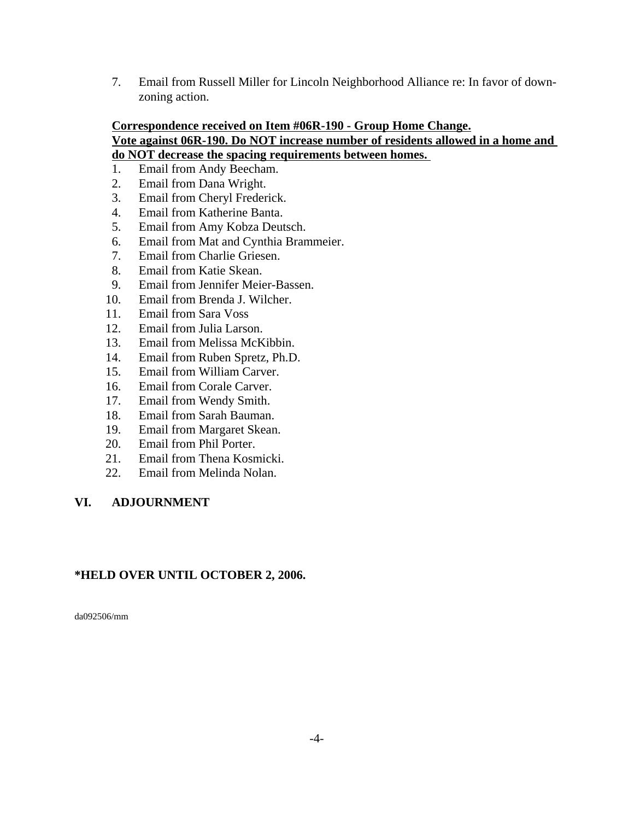7. Email from Russell Miller for Lincoln Neighborhood Alliance re: In favor of downzoning action.

# **Correspondence received on Item #06R-190 - Group Home Change.**

#### **Vote against 06R-190. Do NOT increase number of residents allowed in a home and do NOT decrease the spacing requirements between homes.**

- 1. Email from Andy Beecham.
- 2. Email from Dana Wright.
- 3. Email from Cheryl Frederick.
- 4. Email from Katherine Banta.
- 5. Email from Amy Kobza Deutsch.
- 6. Email from Mat and Cynthia Brammeier.
- 7. Email from Charlie Griesen.
- 8. Email from Katie Skean.
- 9. Email from Jennifer Meier-Bassen.
- 10. Email from Brenda J. Wilcher.
- 11. Email from Sara Voss
- 12. Email from Julia Larson.
- 13. Email from Melissa McKibbin.
- 14. Email from Ruben Spretz, Ph.D.
- 15. Email from William Carver.
- 16. Email from Corale Carver.
- 17. Email from Wendy Smith.
- 18. Email from Sarah Bauman.
- 19. Email from Margaret Skean.
- 20. Email from Phil Porter.
- 21. Email from Thena Kosmicki.
- 22. Email from Melinda Nolan.

### **VI. ADJOURNMENT**

### **\*HELD OVER UNTIL OCTOBER 2, 2006.**

da092506/mm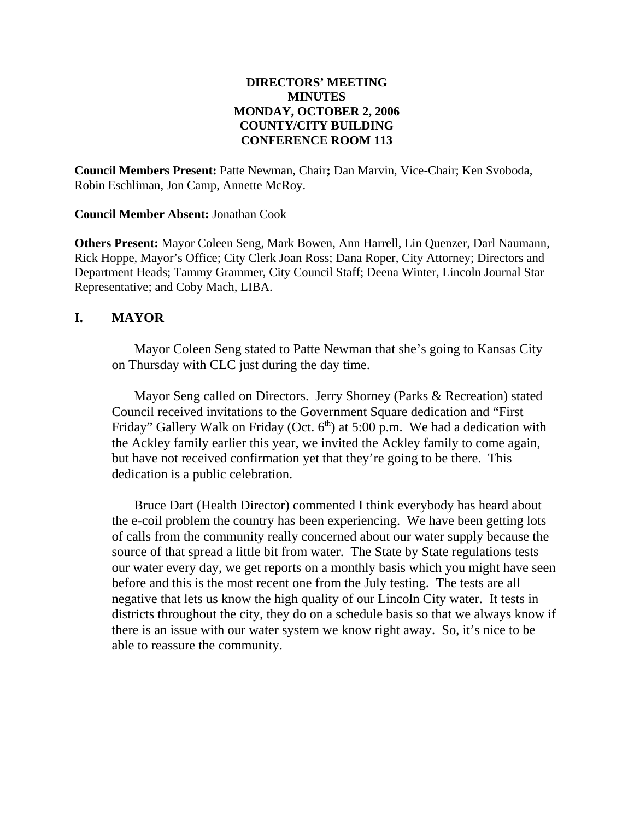### **DIRECTORS' MEETING MINUTES MONDAY, OCTOBER 2, 2006 COUNTY/CITY BUILDING CONFERENCE ROOM 113**

**Council Members Present:** Patte Newman, Chair**;** Dan Marvin, Vice-Chair; Ken Svoboda, Robin Eschliman, Jon Camp, Annette McRoy.

**Council Member Absent:** Jonathan Cook

**Others Present:** Mayor Coleen Seng, Mark Bowen, Ann Harrell, Lin Quenzer, Darl Naumann, Rick Hoppe, Mayor's Office; City Clerk Joan Ross; Dana Roper, City Attorney; Directors and Department Heads; Tammy Grammer, City Council Staff; Deena Winter, Lincoln Journal Star Representative; and Coby Mach, LIBA.

## **I. MAYOR**

Mayor Coleen Seng stated to Patte Newman that she's going to Kansas City on Thursday with CLC just during the day time.

Mayor Seng called on Directors. Jerry Shorney (Parks & Recreation) stated Council received invitations to the Government Square dedication and "First Friday" Gallery Walk on Friday (Oct.  $6<sup>th</sup>$ ) at 5:00 p.m. We had a dedication with the Ackley family earlier this year, we invited the Ackley family to come again, but have not received confirmation yet that they're going to be there. This dedication is a public celebration.

Bruce Dart (Health Director) commented I think everybody has heard about the e-coil problem the country has been experiencing. We have been getting lots of calls from the community really concerned about our water supply because the source of that spread a little bit from water. The State by State regulations tests our water every day, we get reports on a monthly basis which you might have seen before and this is the most recent one from the July testing. The tests are all negative that lets us know the high quality of our Lincoln City water. It tests in districts throughout the city, they do on a schedule basis so that we always know if there is an issue with our water system we know right away. So, it's nice to be able to reassure the community.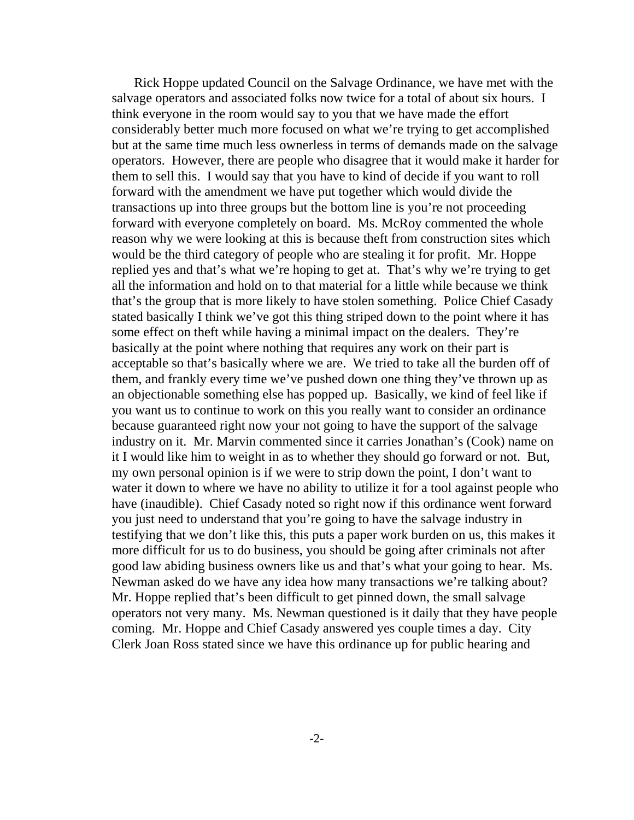Rick Hoppe updated Council on the Salvage Ordinance, we have met with the salvage operators and associated folks now twice for a total of about six hours. I think everyone in the room would say to you that we have made the effort considerably better much more focused on what we're trying to get accomplished but at the same time much less ownerless in terms of demands made on the salvage operators. However, there are people who disagree that it would make it harder for them to sell this. I would say that you have to kind of decide if you want to roll forward with the amendment we have put together which would divide the transactions up into three groups but the bottom line is you're not proceeding forward with everyone completely on board. Ms. McRoy commented the whole reason why we were looking at this is because theft from construction sites which would be the third category of people who are stealing it for profit. Mr. Hoppe replied yes and that's what we're hoping to get at. That's why we're trying to get all the information and hold on to that material for a little while because we think that's the group that is more likely to have stolen something. Police Chief Casady stated basically I think we've got this thing striped down to the point where it has some effect on theft while having a minimal impact on the dealers. They're basically at the point where nothing that requires any work on their part is acceptable so that's basically where we are. We tried to take all the burden off of them, and frankly every time we've pushed down one thing they've thrown up as an objectionable something else has popped up. Basically, we kind of feel like if you want us to continue to work on this you really want to consider an ordinance because guaranteed right now your not going to have the support of the salvage industry on it. Mr. Marvin commented since it carries Jonathan's (Cook) name on it I would like him to weight in as to whether they should go forward or not. But, my own personal opinion is if we were to strip down the point, I don't want to water it down to where we have no ability to utilize it for a tool against people who have (inaudible). Chief Casady noted so right now if this ordinance went forward you just need to understand that you're going to have the salvage industry in testifying that we don't like this, this puts a paper work burden on us, this makes it more difficult for us to do business, you should be going after criminals not after good law abiding business owners like us and that's what your going to hear. Ms. Newman asked do we have any idea how many transactions we're talking about? Mr. Hoppe replied that's been difficult to get pinned down, the small salvage operators not very many. Ms. Newman questioned is it daily that they have people coming. Mr. Hoppe and Chief Casady answered yes couple times a day. City Clerk Joan Ross stated since we have this ordinance up for public hearing and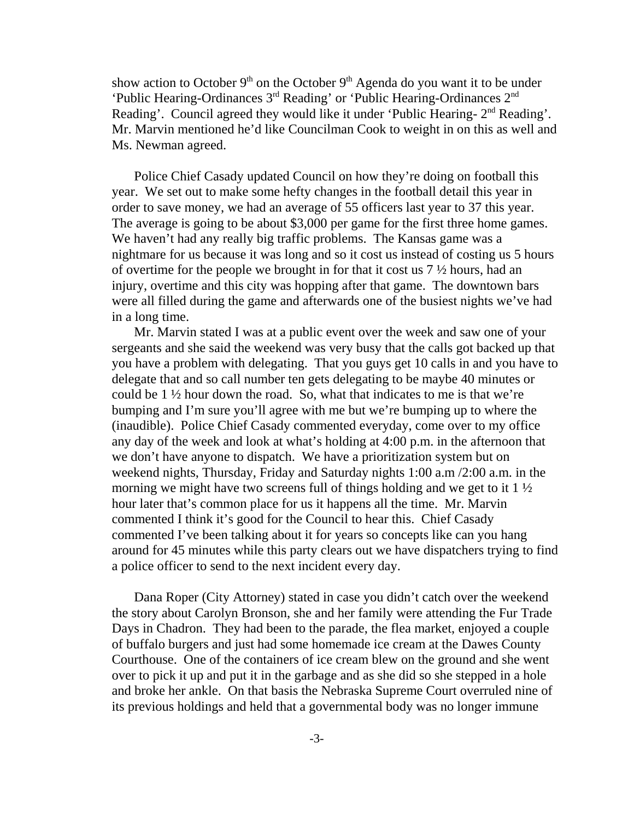show action to October  $9<sup>th</sup>$  on the October  $9<sup>th</sup>$  Agenda do you want it to be under 'Public Hearing-Ordinances 3rd Reading' or 'Public Hearing-Ordinances 2nd Reading'. Council agreed they would like it under 'Public Hearing- 2<sup>nd</sup> Reading'. Mr. Marvin mentioned he'd like Councilman Cook to weight in on this as well and Ms. Newman agreed.

Police Chief Casady updated Council on how they're doing on football this year. We set out to make some hefty changes in the football detail this year in order to save money, we had an average of 55 officers last year to 37 this year. The average is going to be about \$3,000 per game for the first three home games. We haven't had any really big traffic problems. The Kansas game was a nightmare for us because it was long and so it cost us instead of costing us 5 hours of overtime for the people we brought in for that it cost us 7 ½ hours, had an injury, overtime and this city was hopping after that game. The downtown bars were all filled during the game and afterwards one of the busiest nights we've had in a long time.

Mr. Marvin stated I was at a public event over the week and saw one of your sergeants and she said the weekend was very busy that the calls got backed up that you have a problem with delegating. That you guys get 10 calls in and you have to delegate that and so call number ten gets delegating to be maybe 40 minutes or could be 1 ½ hour down the road. So, what that indicates to me is that we're bumping and I'm sure you'll agree with me but we're bumping up to where the (inaudible). Police Chief Casady commented everyday, come over to my office any day of the week and look at what's holding at 4:00 p.m. in the afternoon that we don't have anyone to dispatch. We have a prioritization system but on weekend nights, Thursday, Friday and Saturday nights 1:00 a.m /2:00 a.m. in the morning we might have two screens full of things holding and we get to it  $1\frac{1}{2}$ hour later that's common place for us it happens all the time. Mr. Marvin commented I think it's good for the Council to hear this. Chief Casady commented I've been talking about it for years so concepts like can you hang around for 45 minutes while this party clears out we have dispatchers trying to find a police officer to send to the next incident every day.

Dana Roper (City Attorney) stated in case you didn't catch over the weekend the story about Carolyn Bronson, she and her family were attending the Fur Trade Days in Chadron. They had been to the parade, the flea market, enjoyed a couple of buffalo burgers and just had some homemade ice cream at the Dawes County Courthouse. One of the containers of ice cream blew on the ground and she went over to pick it up and put it in the garbage and as she did so she stepped in a hole and broke her ankle. On that basis the Nebraska Supreme Court overruled nine of its previous holdings and held that a governmental body was no longer immune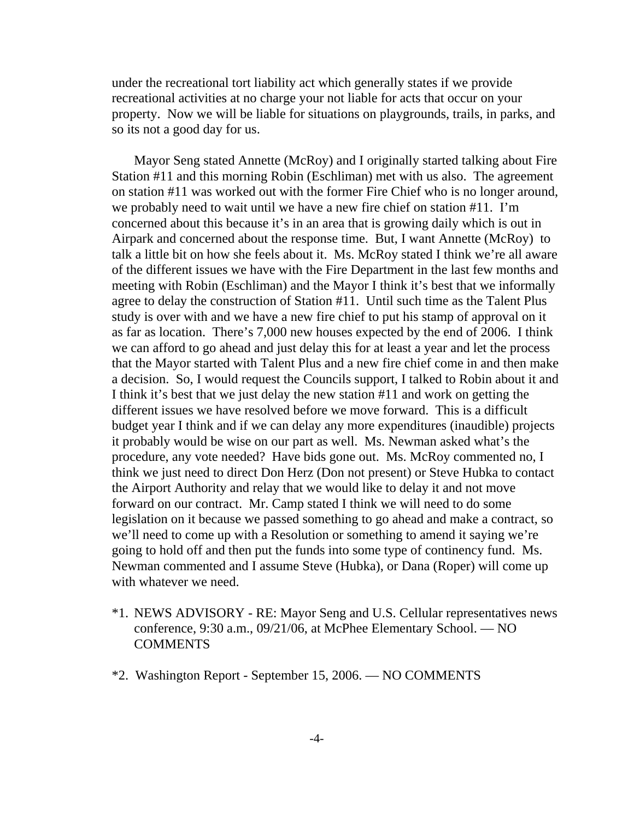under the recreational tort liability act which generally states if we provide recreational activities at no charge your not liable for acts that occur on your property. Now we will be liable for situations on playgrounds, trails, in parks, and so its not a good day for us.

Mayor Seng stated Annette (McRoy) and I originally started talking about Fire Station #11 and this morning Robin (Eschliman) met with us also. The agreement on station #11 was worked out with the former Fire Chief who is no longer around, we probably need to wait until we have a new fire chief on station #11. I'm concerned about this because it's in an area that is growing daily which is out in Airpark and concerned about the response time. But, I want Annette (McRoy) to talk a little bit on how she feels about it. Ms. McRoy stated I think we're all aware of the different issues we have with the Fire Department in the last few months and meeting with Robin (Eschliman) and the Mayor I think it's best that we informally agree to delay the construction of Station #11. Until such time as the Talent Plus study is over with and we have a new fire chief to put his stamp of approval on it as far as location. There's 7,000 new houses expected by the end of 2006. I think we can afford to go ahead and just delay this for at least a year and let the process that the Mayor started with Talent Plus and a new fire chief come in and then make a decision. So, I would request the Councils support, I talked to Robin about it and I think it's best that we just delay the new station #11 and work on getting the different issues we have resolved before we move forward. This is a difficult budget year I think and if we can delay any more expenditures (inaudible) projects it probably would be wise on our part as well. Ms. Newman asked what's the procedure, any vote needed? Have bids gone out. Ms. McRoy commented no, I think we just need to direct Don Herz (Don not present) or Steve Hubka to contact the Airport Authority and relay that we would like to delay it and not move forward on our contract. Mr. Camp stated I think we will need to do some legislation on it because we passed something to go ahead and make a contract, so we'll need to come up with a Resolution or something to amend it saying we're going to hold off and then put the funds into some type of continency fund. Ms. Newman commented and I assume Steve (Hubka), or Dana (Roper) will come up with whatever we need.

- \*1. NEWS ADVISORY RE: Mayor Seng and U.S. Cellular representatives news conference, 9:30 a.m., 09/21/06, at McPhee Elementary School. — NO **COMMENTS**
- \*2. Washington Report September 15, 2006. NO COMMENTS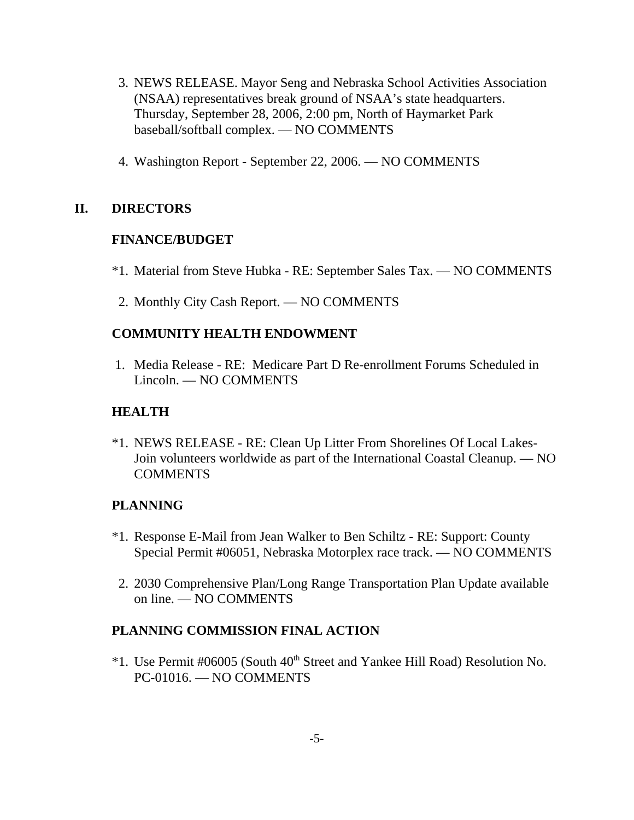- 3. NEWS RELEASE. Mayor Seng and Nebraska School Activities Association (NSAA) representatives break ground of NSAA's state headquarters. Thursday, September 28, 2006, 2:00 pm, North of Haymarket Park baseball/softball complex. — NO COMMENTS
- 4. Washington Report September 22, 2006. NO COMMENTS

## **II. DIRECTORS**

## **FINANCE/BUDGET**

- \*1. Material from Steve Hubka RE: September Sales Tax. NO COMMENTS
- 2. Monthly City Cash Report. NO COMMENTS

## **COMMUNITY HEALTH ENDOWMENT**

 1. Media Release - RE: Medicare Part D Re-enrollment Forums Scheduled in Lincoln. — NO COMMENTS

## **HEALTH**

\*1. NEWS RELEASE - RE: Clean Up Litter From Shorelines Of Local Lakes-Join volunteers worldwide as part of the International Coastal Cleanup. — NO **COMMENTS** 

### **PLANNING**

- \*1. Response E-Mail from Jean Walker to Ben Schiltz RE: Support: County Special Permit #06051, Nebraska Motorplex race track. — NO COMMENTS
- 2. 2030 Comprehensive Plan/Long Range Transportation Plan Update available on line. — NO COMMENTS

## **PLANNING COMMISSION FINAL ACTION**

\*1. Use Permit #06005 (South 40<sup>th</sup> Street and Yankee Hill Road) Resolution No. PC-01016. — NO COMMENTS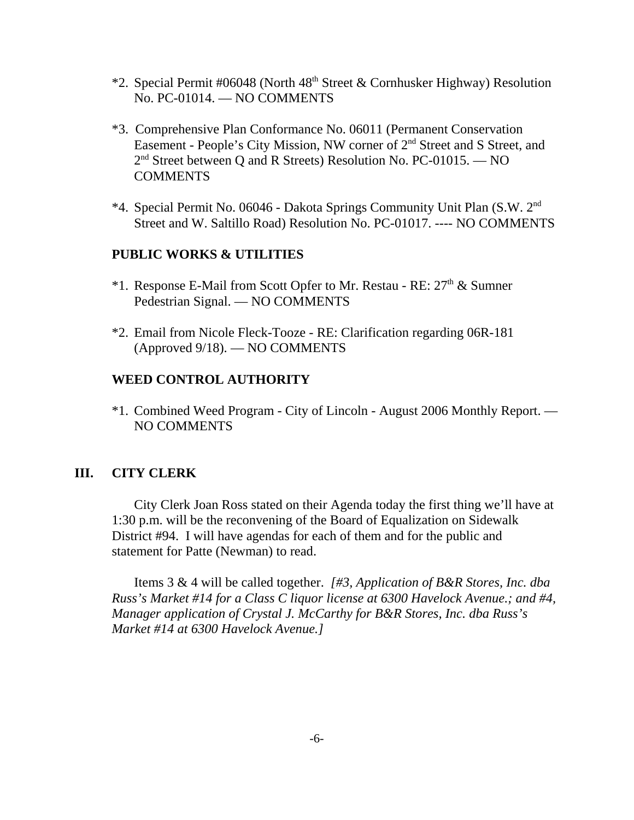- \*2. Special Permit #06048 (North  $48<sup>th</sup>$  Street & Cornhusker Highway) Resolution No. PC-01014. — NO COMMENTS
- \*3. Comprehensive Plan Conformance No. 06011 (Permanent Conservation Easement - People's City Mission, NW corner of 2<sup>nd</sup> Street and S Street, and 2<sup>nd</sup> Street between Q and R Streets) Resolution No. PC-01015. — NO COMMENTS
- \*4. Special Permit No. 06046 Dakota Springs Community Unit Plan (S.W. 2nd Street and W. Saltillo Road) Resolution No. PC-01017. ---- NO COMMENTS

### **PUBLIC WORKS & UTILITIES**

- \*1. Response E-Mail from Scott Opfer to Mr. Restau RE:  $27<sup>th</sup>$  & Sumner Pedestrian Signal. — NO COMMENTS
- \*2. Email from Nicole Fleck-Tooze RE: Clarification regarding 06R-181 (Approved 9/18). — NO COMMENTS

#### **WEED CONTROL AUTHORITY**

\*1. Combined Weed Program - City of Lincoln - August 2006 Monthly Report. — NO COMMENTS

### **III. CITY CLERK**

City Clerk Joan Ross stated on their Agenda today the first thing we'll have at 1:30 p.m. will be the reconvening of the Board of Equalization on Sidewalk District #94. I will have agendas for each of them and for the public and statement for Patte (Newman) to read.

Items 3 & 4 will be called together. *[#3, Application of B&R Stores, Inc. dba Russ's Market #14 for a Class C liquor license at 6300 Havelock Avenue.; and #4, Manager application of Crystal J. McCarthy for B&R Stores, Inc. dba Russ's Market #14 at 6300 Havelock Avenue.]*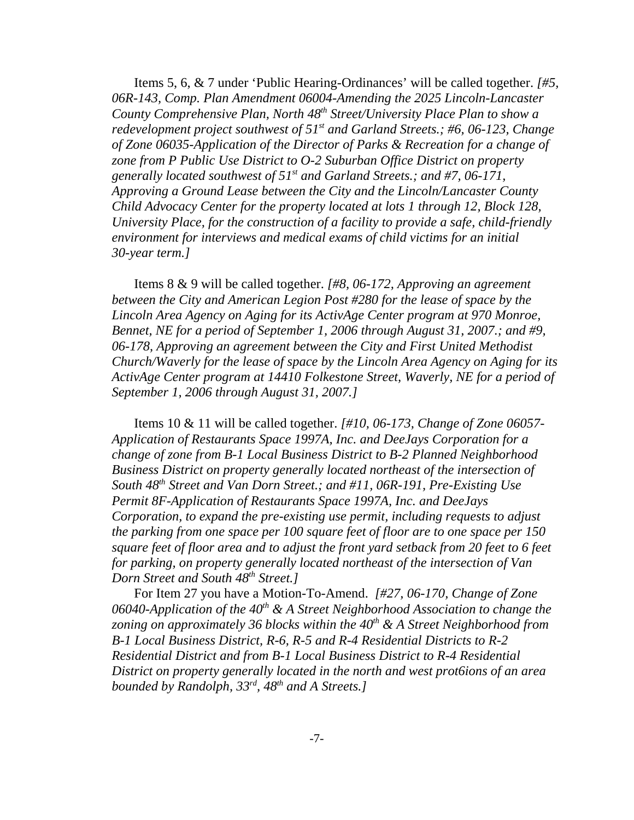Items 5, 6, & 7 under 'Public Hearing-Ordinances' will be called together. *[#5, 06R-143, Comp. Plan Amendment 06004-Amending the 2025 Lincoln-Lancaster County Comprehensive Plan, North 48th Street/University Place Plan to show a redevelopment project southwest of 51st and Garland Streets.; #6, 06-123, Change of Zone 06035-Application of the Director of Parks & Recreation for a change of zone from P Public Use District to O-2 Suburban Office District on property generally located southwest of 51st and Garland Streets.; and #7, 06-171, Approving a Ground Lease between the City and the Lincoln/Lancaster County Child Advocacy Center for the property located at lots 1 through 12, Block 128, University Place, for the construction of a facility to provide a safe, child-friendly environment for interviews and medical exams of child victims for an initial 30-year term.]* 

Items 8 & 9 will be called together. *[#8, 06-172, Approving an agreement between the City and American Legion Post #280 for the lease of space by the Lincoln Area Agency on Aging for its ActivAge Center program at 970 Monroe, Bennet, NE for a period of September 1, 2006 through August 31, 2007.; and #9, 06-178, Approving an agreement between the City and First United Methodist Church/Waverly for the lease of space by the Lincoln Area Agency on Aging for its ActivAge Center program at 14410 Folkestone Street, Waverly, NE for a period of September 1, 2006 through August 31, 2007.]* 

Items 10 & 11 will be called together. *[#10, 06-173, Change of Zone 06057- Application of Restaurants Space 1997A, Inc. and DeeJays Corporation for a change of zone from B-1 Local Business District to B-2 Planned Neighborhood Business District on property generally located northeast of the intersection of South 48th Street and Van Dorn Street.; and #11, 06R-191, Pre-Existing Use Permit 8F-Application of Restaurants Space 1997A, Inc. and DeeJays Corporation, to expand the pre-existing use permit, including requests to adjust the parking from one space per 100 square feet of floor are to one space per 150 square feet of floor area and to adjust the front yard setback from 20 feet to 6 feet for parking, on property generally located northeast of the intersection of Van Dorn Street and South 48th Street.]* 

For Item 27 you have a Motion-To-Amend. *[#27, 06-170, Change of Zone* 06040-Application of the 40<sup>th</sup> & A Street Neighborhood Association to change the zoning on approximately 36 blocks within the 40<sup>th</sup> & A Street Neighborhood from *B-1 Local Business District, R-6, R-5 and R-4 Residential Districts to R-2 Residential District and from B-1 Local Business District to R-4 Residential District on property generally located in the north and west prot6ions of an area bounded by Randolph, 33rd, 48th and A Streets.]*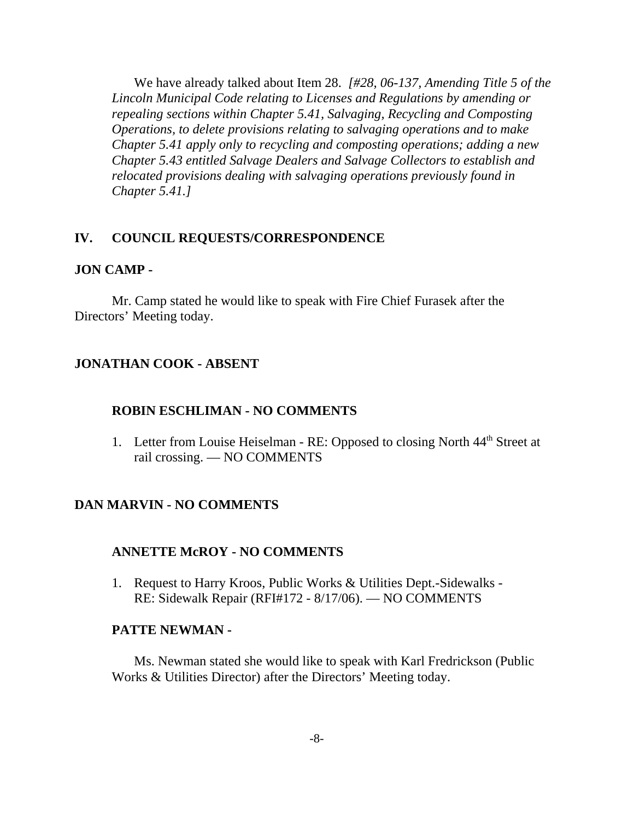We have already talked about Item 28. *[#28, 06-137, Amending Title 5 of the Lincoln Municipal Code relating to Licenses and Regulations by amending or repealing sections within Chapter 5.41, Salvaging, Recycling and Composting Operations, to delete provisions relating to salvaging operations and to make Chapter 5.41 apply only to recycling and composting operations; adding a new Chapter 5.43 entitled Salvage Dealers and Salvage Collectors to establish and relocated provisions dealing with salvaging operations previously found in Chapter 5.41.]* 

### **IV. COUNCIL REQUESTS/CORRESPONDENCE**

#### **JON CAMP -**

Mr. Camp stated he would like to speak with Fire Chief Furasek after the Directors' Meeting today.

### **JONATHAN COOK - ABSENT**

### **ROBIN ESCHLIMAN - NO COMMENTS**

1. Letter from Louise Heiselman - RE: Opposed to closing North 44<sup>th</sup> Street at rail crossing. — NO COMMENTS

## **DAN MARVIN - NO COMMENTS**

#### **ANNETTE McROY - NO COMMENTS**

1. Request to Harry Kroos, Public Works & Utilities Dept.-Sidewalks - RE: Sidewalk Repair (RFI#172 - 8/17/06). — NO COMMENTS

#### **PATTE NEWMAN -**

Ms. Newman stated she would like to speak with Karl Fredrickson (Public Works & Utilities Director) after the Directors' Meeting today.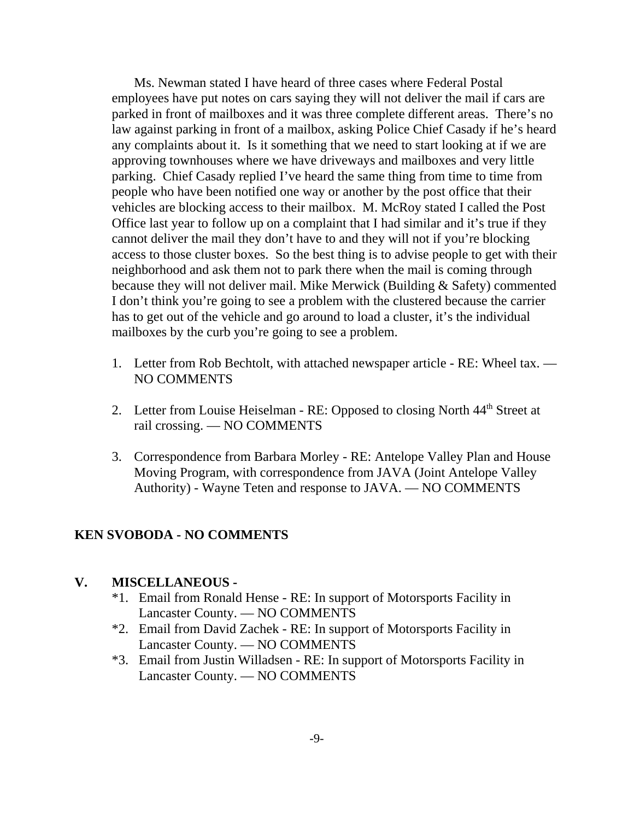Ms. Newman stated I have heard of three cases where Federal Postal employees have put notes on cars saying they will not deliver the mail if cars are parked in front of mailboxes and it was three complete different areas. There's no law against parking in front of a mailbox, asking Police Chief Casady if he's heard any complaints about it. Is it something that we need to start looking at if we are approving townhouses where we have driveways and mailboxes and very little parking. Chief Casady replied I've heard the same thing from time to time from people who have been notified one way or another by the post office that their vehicles are blocking access to their mailbox. M. McRoy stated I called the Post Office last year to follow up on a complaint that I had similar and it's true if they cannot deliver the mail they don't have to and they will not if you're blocking access to those cluster boxes. So the best thing is to advise people to get with their neighborhood and ask them not to park there when the mail is coming through because they will not deliver mail. Mike Merwick (Building & Safety) commented I don't think you're going to see a problem with the clustered because the carrier has to get out of the vehicle and go around to load a cluster, it's the individual mailboxes by the curb you're going to see a problem.

- 1. Letter from Rob Bechtolt, with attached newspaper article RE: Wheel tax. NO COMMENTS
- 2. Letter from Louise Heiselman RE: Opposed to closing North 44<sup>th</sup> Street at rail crossing. — NO COMMENTS
- 3. Correspondence from Barbara Morley RE: Antelope Valley Plan and House Moving Program, with correspondence from JAVA (Joint Antelope Valley Authority) - Wayne Teten and response to JAVA. — NO COMMENTS

## **KEN SVOBODA - NO COMMENTS**

#### **V. MISCELLANEOUS -**

- \*1. Email from Ronald Hense RE: In support of Motorsports Facility in Lancaster County. — NO COMMENTS
- \*2. Email from David Zachek RE: In support of Motorsports Facility in Lancaster County. — NO COMMENTS
- \*3. Email from Justin Willadsen RE: In support of Motorsports Facility in Lancaster County. — NO COMMENTS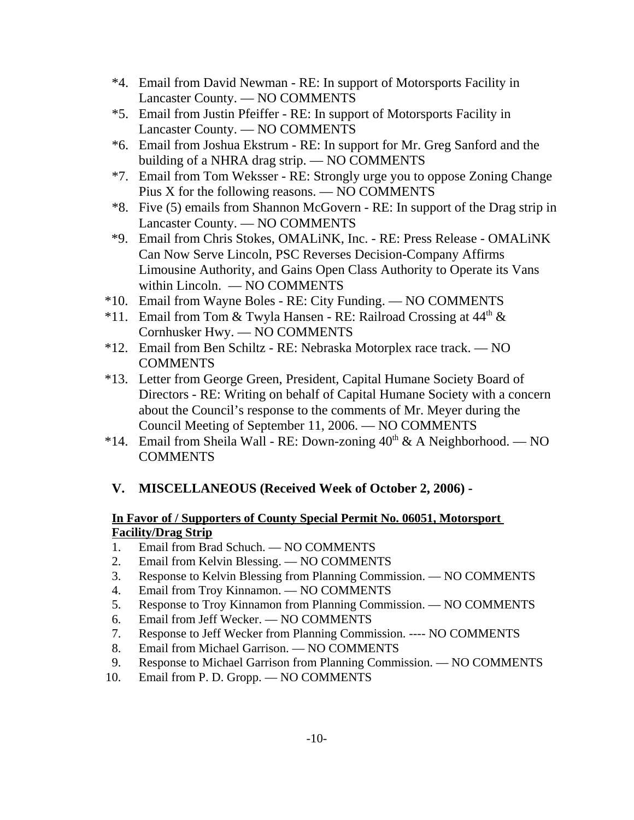- \*4. Email from David Newman RE: In support of Motorsports Facility in Lancaster County. — NO COMMENTS
- \*5. Email from Justin Pfeiffer RE: In support of Motorsports Facility in Lancaster County. — NO COMMENTS
- \*6. Email from Joshua Ekstrum RE: In support for Mr. Greg Sanford and the building of a NHRA drag strip. — NO COMMENTS
- \*7. Email from Tom Weksser RE: Strongly urge you to oppose Zoning Change Pius X for the following reasons. — NO COMMENTS
- \*8. Five (5) emails from Shannon McGovern RE: In support of the Drag strip in Lancaster County. — NO COMMENTS
- \*9. Email from Chris Stokes, OMALiNK, Inc. RE: Press Release OMALiNK Can Now Serve Lincoln, PSC Reverses Decision-Company Affirms Limousine Authority, and Gains Open Class Authority to Operate its Vans within Lincoln. — NO COMMENTS
- \*10. Email from Wayne Boles RE: City Funding. NO COMMENTS
- \*11. Email from Tom & Twyla Hansen RE: Railroad Crossing at  $44<sup>th</sup>$  & Cornhusker Hwy. — NO COMMENTS
- \*12. Email from Ben Schiltz RE: Nebraska Motorplex race track. NO **COMMENTS**
- \*13. Letter from George Green, President, Capital Humane Society Board of Directors - RE: Writing on behalf of Capital Humane Society with a concern about the Council's response to the comments of Mr. Meyer during the Council Meeting of September 11, 2006. — NO COMMENTS
- \*14. Email from Sheila Wall RE: Down-zoning  $40^{th}$  & A Neighborhood. NO **COMMENTS**

# **V. MISCELLANEOUS (Received Week of October 2, 2006) -**

## **In Favor of / Supporters of County Special Permit No. 06051, Motorsport Facility/Drag Strip**

- 1. Email from Brad Schuch. NO COMMENTS
- 2. Email from Kelvin Blessing. NO COMMENTS
- 3. Response to Kelvin Blessing from Planning Commission. NO COMMENTS
- 4. Email from Troy Kinnamon. NO COMMENTS
- 5. Response to Troy Kinnamon from Planning Commission. NO COMMENTS
- 6. Email from Jeff Wecker. NO COMMENTS
- 7. Response to Jeff Wecker from Planning Commission. ---- NO COMMENTS
- 8. Email from Michael Garrison. NO COMMENTS
- 9. Response to Michael Garrison from Planning Commission. NO COMMENTS
- 10. Email from P. D. Gropp. NO COMMENTS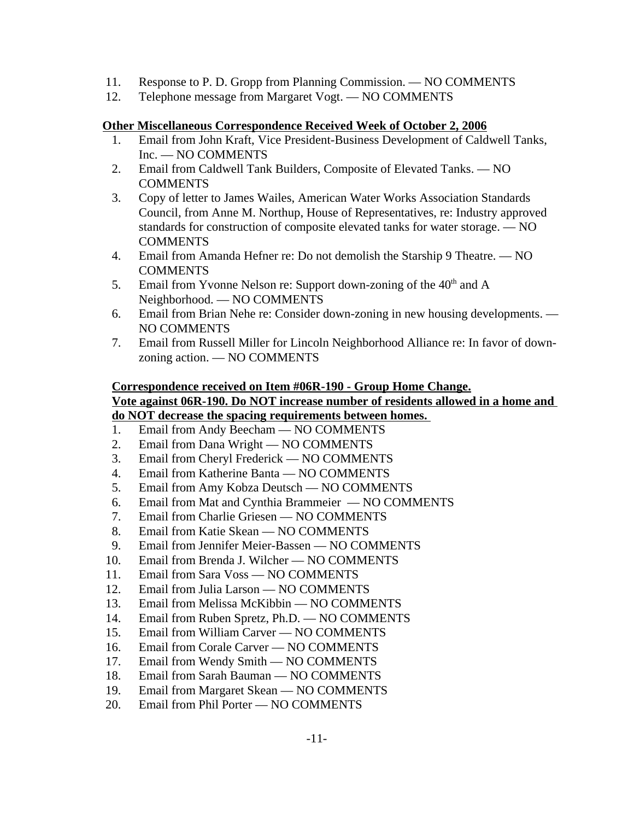- 11. Response to P. D. Gropp from Planning Commission. NO COMMENTS
- 12. Telephone message from Margaret Vogt. NO COMMENTS

### **Other Miscellaneous Correspondence Received Week of October 2, 2006**

- 1. Email from John Kraft, Vice President-Business Development of Caldwell Tanks, Inc. — NO COMMENTS
- 2. Email from Caldwell Tank Builders, Composite of Elevated Tanks. NO **COMMENTS**
- 3. Copy of letter to James Wailes, American Water Works Association Standards Council, from Anne M. Northup, House of Representatives, re: Industry approved standards for construction of composite elevated tanks for water storage. — NO COMMENTS
- 4. Email from Amanda Hefner re: Do not demolish the Starship 9 Theatre. NO COMMENTS
- 5. Email from Yvonne Nelson re: Support down-zoning of the  $40<sup>th</sup>$  and A Neighborhood. — NO COMMENTS
- 6. Email from Brian Nehe re: Consider down-zoning in new housing developments. NO COMMENTS
- 7. Email from Russell Miller for Lincoln Neighborhood Alliance re: In favor of downzoning action. — NO COMMENTS

### **Correspondence received on Item #06R-190 - Group Home Change. Vote against 06R-190. Do NOT increase number of residents allowed in a home and do NOT decrease the spacing requirements between homes.**

- 1. Email from Andy Beecham NO COMMENTS
- 2. Email from Dana Wright NO COMMENTS
- 3. Email from Cheryl Frederick NO COMMENTS
- 4. Email from Katherine Banta NO COMMENTS
- 5. Email from Amy Kobza Deutsch NO COMMENTS
- 6. Email from Mat and Cynthia Brammeier NO COMMENTS
- 7. Email from Charlie Griesen NO COMMENTS
- 8. Email from Katie Skean NO COMMENTS
- 9. Email from Jennifer Meier-Bassen NO COMMENTS
- 10. Email from Brenda J. Wilcher NO COMMENTS
- 11. Email from Sara Voss NO COMMENTS
- 12. Email from Julia Larson NO COMMENTS
- 13. Email from Melissa McKibbin NO COMMENTS
- 14. Email from Ruben Spretz, Ph.D. NO COMMENTS
- 15. Email from William Carver NO COMMENTS
- 16. Email from Corale Carver NO COMMENTS
- 17. Email from Wendy Smith NO COMMENTS
- 18. Email from Sarah Bauman NO COMMENTS
- 19. Email from Margaret Skean NO COMMENTS
- 20. Email from Phil Porter NO COMMENTS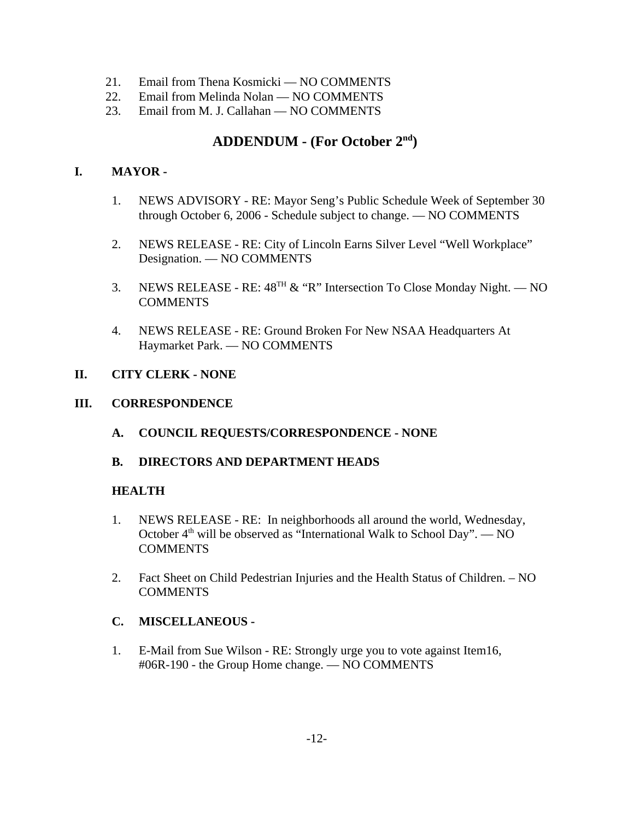- 21. Email from Thena Kosmicki NO COMMENTS
- 22. Email from Melinda Nolan NO COMMENTS
- 23. Email from M. J. Callahan NO COMMENTS

# **ADDENDUM - (For October 2nd)**

### **I. MAYOR -**

- 1. NEWS ADVISORY RE: Mayor Seng's Public Schedule Week of September 30 through October 6, 2006 - Schedule subject to change. — NO COMMENTS
- 2. NEWS RELEASE RE: City of Lincoln Earns Silver Level "Well Workplace" Designation. — NO COMMENTS
- 3. NEWS RELEASE RE:  $48^{TH}$  & "R" Intersection To Close Monday Night. NO **COMMENTS**
- 4. NEWS RELEASE RE: Ground Broken For New NSAA Headquarters At Haymarket Park. — NO COMMENTS

#### **II. CITY CLERK - NONE**

#### **III. CORRESPONDENCE**

**A. COUNCIL REQUESTS/CORRESPONDENCE - NONE**

### **B. DIRECTORS AND DEPARTMENT HEADS**

#### **HEALTH**

- 1. NEWS RELEASE RE: In neighborhoods all around the world, Wednesday, October  $4<sup>th</sup>$  will be observed as "International Walk to School Day". — NO COMMENTS
- 2. Fact Sheet on Child Pedestrian Injuries and the Health Status of Children. NO **COMMENTS**

### **C. MISCELLANEOUS -**

1. E-Mail from Sue Wilson - RE: Strongly urge you to vote against Item16, #06R-190 - the Group Home change. — NO COMMENTS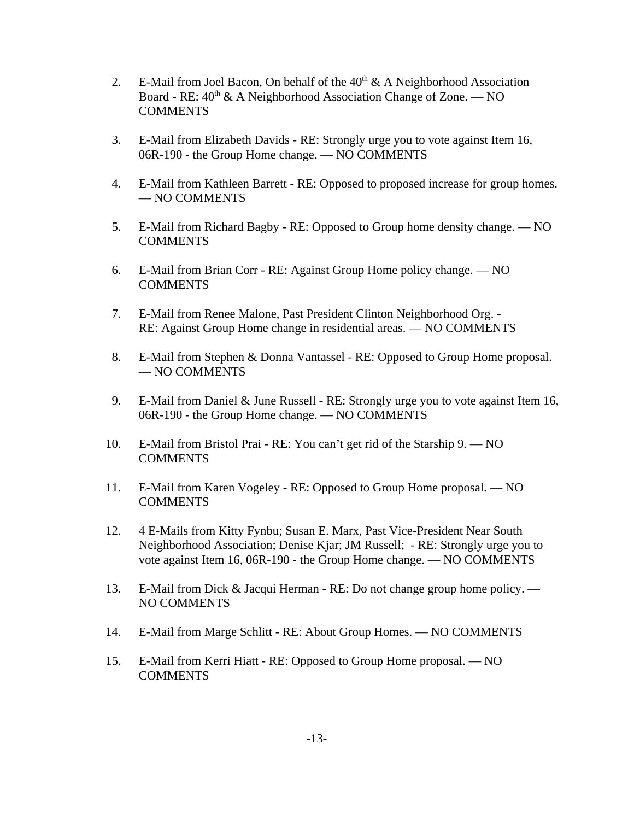- 2. E-Mail from Joel Bacon, On behalf of the  $40<sup>th</sup> \& A$  Neighborhood Association Board - RE:  $40^{\text{th}}$  & A Neighborhood Association Change of Zone. — NO COMMENTS
- 3. E-Mail from Elizabeth Davids RE: Strongly urge you to vote against Item 16, 06R-190 - the Group Home change. — NO COMMENTS
- 4. E-Mail from Kathleen Barrett RE: Opposed to proposed increase for group homes. — NO COMMENTS
- 5. E-Mail from Richard Bagby RE: Opposed to Group home density change. NO COMMENTS
- 6. E-Mail from Brian Corr RE: Against Group Home policy change. NO **COMMENTS**
- 7. E-Mail from Renee Malone, Past President Clinton Neighborhood Org. RE: Against Group Home change in residential areas. — NO COMMENTS
- 8. E-Mail from Stephen & Donna Vantassel RE: Opposed to Group Home proposal. — NO COMMENTS
- 9. E-Mail from Daniel & June Russell RE: Strongly urge you to vote against Item 16, 06R-190 - the Group Home change. — NO COMMENTS
- 10. E-Mail from Bristol Prai RE: You can't get rid of the Starship 9. NO **COMMENTS**
- 11. E-Mail from Karen Vogeley RE: Opposed to Group Home proposal. NO COMMENTS
- 12. 4 E-Mails from Kitty Fynbu; Susan E. Marx, Past Vice-President Near South Neighborhood Association; Denise Kjar; JM Russell; - RE: Strongly urge you to vote against Item 16, 06R-190 - the Group Home change. — NO COMMENTS
- 13. E-Mail from Dick & Jacqui Herman RE: Do not change group home policy. NO COMMENTS
- 14. E-Mail from Marge Schlitt RE: About Group Homes. NO COMMENTS
- 15. E-Mail from Kerri Hiatt RE: Opposed to Group Home proposal. NO COMMENTS